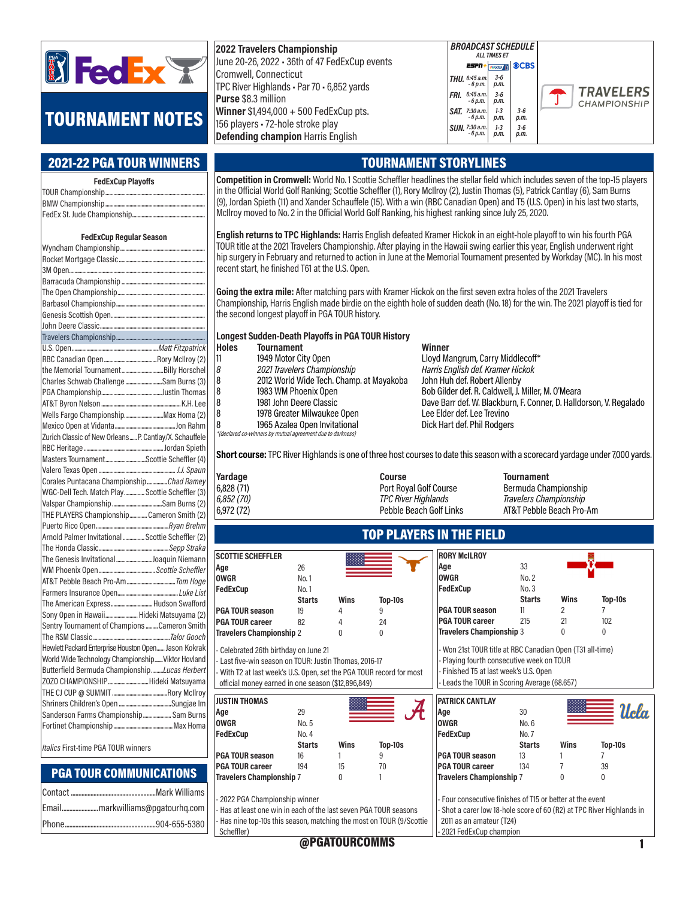

# TOURNAMENT NOTES

#### 2021-22 PGA TOUR WINNERS

| <b>FedExCup Playoffs</b> |  |  |  |  |
|--------------------------|--|--|--|--|
|                          |  |  |  |  |
|                          |  |  |  |  |
|                          |  |  |  |  |
|                          |  |  |  |  |

#### FedExCup Regular Season

| the Memorial TournamentBilly Horschel                  |  |
|--------------------------------------------------------|--|
| Charles Schwab Challenge Sam Burns (3)                 |  |
|                                                        |  |
|                                                        |  |
| Wells Fargo ChampionshipMax Homa (2)                   |  |
|                                                        |  |
| Zurich Classic of New Orleans P. Cantlay/X. Schauffele |  |
|                                                        |  |
| Masters TournamentScottie Scheffler (4)                |  |
|                                                        |  |
| Corales Puntacana ChampionshipChad Ramey               |  |
| WGC-Dell Tech. Match Play  Scottie Scheffler (3)       |  |
|                                                        |  |
| THE PLAYERS Championship Cameron Smith (2)             |  |
|                                                        |  |
| Arnold Palmer Invitational  Scottie Scheffler (2)      |  |
|                                                        |  |
| The Genesis InvitationalJoaquin Niemann                |  |
|                                                        |  |
|                                                        |  |
|                                                        |  |
| The American Express Hudson Swafford                   |  |
| Sony Open in Hawaii Hideki Matsuyama (2)               |  |
| Sentry Tournament of Champions Cameron Smith           |  |
|                                                        |  |
| Hewlett Packard Enterprise Houston Open Jason Kokrak   |  |
| World Wide Technology Championship Viktor Hovland      |  |
| Butterfield Bermuda ChampionshipLucas Herbert          |  |
| ZOZO CHAMPIONSHIPHideki Matsuyama                      |  |
|                                                        |  |
|                                                        |  |
| Sanderson Farms Championship Sam Burns                 |  |
|                                                        |  |
|                                                        |  |

Italics First-time PGA TOUR winners

## PGA TOUR COMMUNICATIONS

#### 2022 Travelers Championship June 20-26, 2022 • 36th of 47 FedExCup events Cromwell, Connecticut TPC River Highlands • Par 70 • 6,852 yards Purse \$8.3 million Winner \$1,494,000 + 500 FedExCup pts. 156 players • 72-hole stroke play Defending champion Harris English

#### THU. 6:45 a.m. - 6 p.m.  $FRI. 6:45 a.n.$ - 6 p.m. SAT. 7:30 a.m. 1-3 3-6<br>6 p.m. p.m. p.m  $3-6$ <br>p.m. **SUN.** 7:30 a.m.<br>6 p.m. ":30 a.m. | 1-3 | 3-6<br>- 6 p.m. | p.m. | p.m. 3-6 p.m. 1-3 p.m. 1-3 p.m. 3-6 p.m.

**ESPN+** 

BROADCAST SCHEDULE **ALL TIMES FT** 

**JEGOLF** 



## TOURNAMENT STORYLINES

Competition in Cromwell: World No. 1 Scottie Scheffler headlines the stellar field which includes seven of the top-15 players in the Official World Golf Ranking; Scottie Scheffler (1), Rory McIlroy (2), Justin Thomas (5), Patrick Cantlay (6), Sam Burns (9), Jordan Spieth (11) and Xander Schauffele (15). With a win (RBC Canadian Open) and T5 (U.S. Open) in his last two starts, McIlroy moved to No. 2 in the Official World Golf Ranking, his highest ranking since July 25, 2020.

English returns to TPC Highlands: Harris English defeated Kramer Hickok in an eight-hole playoff to win his fourth PGA TOUR title at the 2021 Travelers Championship. After playing in the Hawaii swing earlier this year, English underwent right hip surgery in February and returned to action in June at the Memorial Tournament presented by Workday (MC). In his most recent start, he finished T61 at the U.S. Open.

Going the extra mile: After matching pars with Kramer Hickok on the first seven extra holes of the 2021 Travelers Championship, Harris English made birdie on the eighth hole of sudden death (No. 18) for the win. The 2021 playoff is tied for the second longest playoff in PGA TOUR history.

Longest Sudden-Death Playoffs in PGA TOUR History

| Holes | <b>Tournament</b>                                          | Winner                                 |
|-------|------------------------------------------------------------|----------------------------------------|
| 11    | 1949 Motor City Open                                       | Lloyd Mangrum, Carry Middlecoff*       |
| 18    | 2021 Travelers Championship                                | Harris English def. Kramer Hickok      |
| 8     | 2012 World Wide Tech. Champ. at Mayakoba                   | John Huh def. Robert Allenby           |
| 8     | 1983 WM Phoenix Open                                       | Bob Gilder def. R. Caldwell, J. Miller |
| 8     | 1981 John Deere Classic                                    | Dave Barr def. W. Blackburn, F. Con    |
| 8     | 1978 Greater Milwaukee Open                                | Lee Elder def. Lee Trevino             |
| l8    | 1965 Azalea Open Invitational                              | Dick Hart def. Phil Rodgers            |
|       | *(declared co-winners by mutual agreement due to darkness) |                                        |

Winner Bob Gilder def. R. Caldwell, J. Miller, M. O'Meara 8 1981 John Deere Classic Dave Dave Barr def. W. Blackburn, F. Conner, D. Halldorson, V. Regalado<br>8 1978 Greater Milwaukee Open Lee Elder def. Lee Trevino Lee Elder def. Lee Trevino

Short course: TPC River Highlands is one of three host courses to date this season with a scorecard yardage under 7,000 yards.

| Yardage    | Course                  | <b>Tournament</b>        |
|------------|-------------------------|--------------------------|
| 6.828(71)  | Port Royal Golf Course  | Bermuda Championship     |
| 6,852 (70) | TPC River Highlands     | Travelers Championship   |
| 6,972 (72) | Pebble Beach Golf Links | AT&T Pebble Beach Pro-Am |

## TOP PLAYERS IN THE FIELD

|               |                          |         | <b>RORY McILROY</b>    |               |                                 |         |
|---------------|--------------------------|---------|------------------------|---------------|---------------------------------|---------|
| 26            |                          |         | Age                    | 33            |                                 |         |
| No.1          |                          |         | <b>OWGR</b>            | No. 2         |                                 |         |
| No. 1         |                          |         | FedExCup               | No. 3         |                                 |         |
| <b>Starts</b> | Wins                     | Top-10s |                        | <b>Starts</b> | Wins                            | Top-10s |
| 19            | 4                        |         | <b>PGA TOUR season</b> | 11            |                                 |         |
| 82            | 4                        | 24      | <b>PGA TOUR career</b> | 215           | 21                              | 102     |
|               | 0                        |         |                        |               |                                 | 0       |
|               | Travelers Championship 2 |         |                        |               | <b>Travelers Championship 3</b> |         |

- Celebrated 26th birthday on June 21 - Last five-win season on TOUR: Justin Thomas, 2016-17 - With T2 at last week's U.S. Open, set the PGA TOUR record for most official money earned in one season (\$12,896,849)

| JUSTIN THOMAS            |               |      |         |
|--------------------------|---------------|------|---------|
| Aqe                      | 29            |      |         |
| 0WGR                     | No. 5         |      |         |
| FedExCup                 | No. 4         |      |         |
|                          | <b>Starts</b> | Wins | Top-10s |
| <b>PGA TOUR season</b>   | 16            |      | 9       |
| PGA TOUR career          | 194           | 15   | 70      |
| Travelers Championship 7 |               | U    |         |
|                          |               |      |         |

2022 PGA Championship winner

Has at least one win in each of the last seven PGA TOUR seasons Has nine top-10s this season, matching the most on TOUR (9/Scottie Scheffler)

| <b>Travelers Championship 3</b>                                                                                                                                                                  |               |             |         |  |  |  |
|--------------------------------------------------------------------------------------------------------------------------------------------------------------------------------------------------|---------------|-------------|---------|--|--|--|
| - Won 21st TOUR title at RBC Canadian Open (T31 all-time)<br>- Playing fourth consecutive week on TOUR<br>- Finished T5 at last week's U.S. Open<br>- Leads the TOUR in Scoring Average (68.657) |               |             |         |  |  |  |
| <b>PATRICK CANTLAY</b>                                                                                                                                                                           |               |             |         |  |  |  |
| Age                                                                                                                                                                                              | 30            |             | Ucla    |  |  |  |
| <b>OWGR</b>                                                                                                                                                                                      | No. 6         |             |         |  |  |  |
| FedExCup                                                                                                                                                                                         | No. 7         |             |         |  |  |  |
|                                                                                                                                                                                                  | <b>Starts</b> | <b>Wins</b> | Top-10s |  |  |  |
| <b>PGA TOUR season</b>                                                                                                                                                                           | 13            |             |         |  |  |  |
| <b>PGA TOUR career</b>                                                                                                                                                                           | 134           |             | 39      |  |  |  |
| <b>Travelers Championship 7</b>                                                                                                                                                                  |               |             |         |  |  |  |

- Four consecutive finishes of T15 or better at the event - Shot a carer low 18-hole score of 60 (R2) at TPC River Highlands in 2011 as an amateur (T24) 2021 FedExCup champion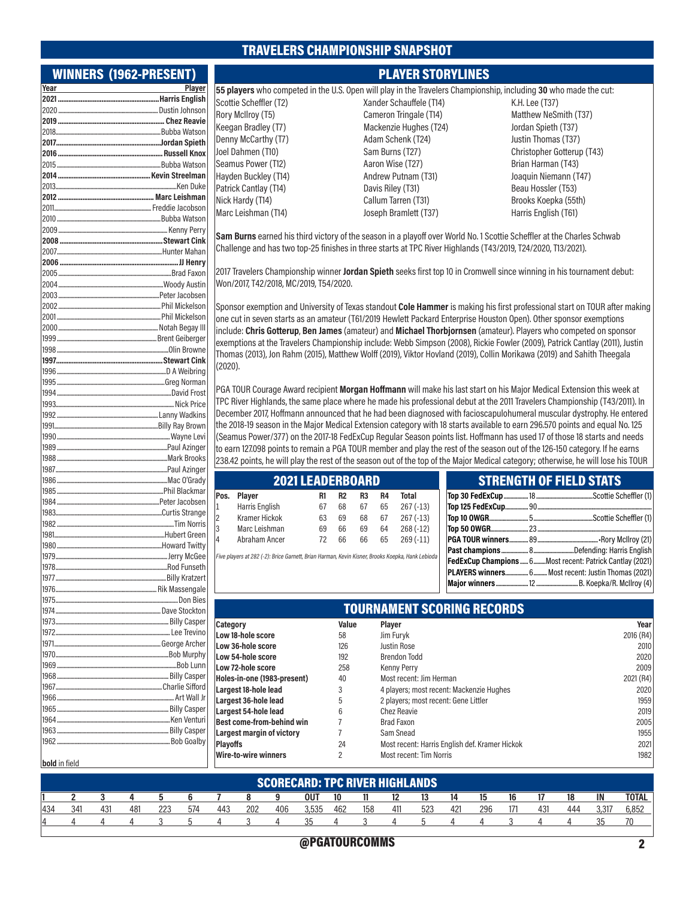### TRAVELERS CHAMPIONSHIP SNAPSHOT

Rory McIlroy (T5) Keegan Bradley (T7) Denny McCarthy (T7) Joel Dahmen (T10) Seamus Power (T12) Hayden Buckley (T14) Patrick Cantlay (T14) Nick Hardy (T14) Marc Leishman (T14)

#### WINNERS (1962-PRESENT)

| Year          | Player |
|---------------|--------|
|               |        |
|               |        |
|               |        |
|               |        |
|               |        |
|               |        |
|               |        |
|               |        |
|               |        |
|               |        |
|               |        |
|               |        |
|               |        |
|               |        |
|               |        |
|               |        |
|               |        |
|               |        |
|               |        |
|               |        |
|               |        |
|               |        |
|               |        |
|               |        |
|               |        |
|               |        |
|               |        |
|               |        |
|               |        |
|               |        |
|               |        |
|               |        |
|               |        |
|               |        |
|               |        |
|               |        |
|               |        |
|               |        |
|               |        |
|               |        |
|               |        |
|               |        |
|               |        |
|               |        |
|               |        |
|               |        |
|               |        |
|               |        |
|               |        |
|               |        |
|               |        |
|               |        |
|               |        |
|               |        |
|               |        |
|               |        |
|               |        |
|               |        |
|               |        |
|               |        |
|               |        |
| bold in field |        |

PLAYER STORYLINES

55 players who competed in the U.S. Open will play in the Travelers Championship, including 30 who made the cut: Scottie Scheffler (T2)

Xander Schauffele (T14) Cameron Tringale (T14) Mackenzie Hughes (T24) Adam Schenk (T24) Sam Burns (T27) Aaron Wise (T27) Andrew Putnam (T31) Davis Riley (T31) Callum Tarren (T31) Joseph Bramlett (T37)

K.H. Lee (T37) Matthew NeSmith (T37) Jordan Spieth (T37) Justin Thomas (T37) Christopher Gotterup (T43) Brian Harman (T43) Joaquin Niemann (T47) Beau Hossler (T53) Brooks Koepka (55th) Harris English (T61)

Sam Burns earned his third victory of the season in a playoff over World No. 1 Scottie Scheffler at the Charles Schwab Challenge and has two top-25 finishes in three starts at TPC River Highlands (T43/2019, T24/2020, T13/2021).

2017 Travelers Championship winner Jordan Spieth seeks first top 10 in Cromwell since winning in his tournament debut: Won/2017, T42/2018, MC/2019, T54/2020.

Sponsor exemption and University of Texas standout Cole Hammer is making his first professional start on TOUR after making one cut in seven starts as an amateur (T61/2019 Hewlett Packard Enterprise Houston Open). Other sponsor exemptions include: Chris Gotterup, Ben James (amateur) and Michael Thorbjornsen (amateur). Players who competed on sponsor exemptions at the Travelers Championship include: Webb Simpson (2008), Rickie Fowler (2009), Patrick Cantlay (2011), Justin Thomas (2013), Jon Rahm (2015), Matthew Wolff (2019), Viktor Hovland (2019), Collin Morikawa (2019) and Sahith Theegala (2020).

PGA TOUR Courage Award recipient Morgan Hoffmann will make his last start on his Major Medical Extension this week at TPC River Highlands, the same place where he made his professional debut at the 2011 Travelers Championship (T43/2011). In December 2017, Hoffmann announced that he had been diagnosed with facioscapulohumeral muscular dystrophy. He entered the 2018-19 season in the Major Medical Extension category with 18 starts available to earn 296.570 points and equal No. 125 (Seamus Power/377) on the 2017-18 FedExCup Regular Season points list. Hoffmann has used 17 of those 18 starts and needs to earn 127.098 points to remain a PGA TOUR member and play the rest of the season out of the 126-150 category. If he earns 238.42 points, he will play the rest of the season out of the top of the Major Medical category; otherwise, he will lose his TOUR

| <b>2021 LEADERBOARD</b> |                      |    |                |                |    |            |  |
|-------------------------|----------------------|----|----------------|----------------|----|------------|--|
| Pos.                    | Player               | R1 | R <sub>2</sub> | R <sub>3</sub> | R4 | Total      |  |
| 1                       | Harris English       | 67 | 68             | 67             | 65 | $267(-13)$ |  |
| 2                       | <b>Kramer Hickok</b> | 63 | 69             | 68             | 67 | $267(-13)$ |  |
| 3                       | Marc Leishman        | 69 | 66             | 69             | 64 | $268(-12)$ |  |
| 4                       | Abraham Ancer        | 72 | 66             | 66             | 65 | $269(-11)$ |  |

Five players at 282 (-2): Brice Garnett, Brian Harman, Kevin Kisner, Brooks Koepka, Hank Lebioda

|  | <u>VIIIERVIII VI TEEV VIRIV</u>                           |
|--|-----------------------------------------------------------|
|  |                                                           |
|  |                                                           |
|  |                                                           |
|  |                                                           |
|  |                                                           |
|  |                                                           |
|  | FedExCup Champions  6 Most recent: Patrick Cantlay (2021) |
|  | PLAYERS winners 6 Most recent: Justin Thomas (2021)       |
|  |                                                           |
|  |                                                           |

STRENGTH OF FIFI D STATS

| .<br>ckton | <b>TOURNAMENT SCORING RECORDS</b> |       |                                                |           |  |  |
|------------|-----------------------------------|-------|------------------------------------------------|-----------|--|--|
| asper      | Category                          | Value | <b>Plaver</b>                                  | Year      |  |  |
| evino      | Low 18-hole score                 | 58    | Jim Furyk                                      | 2016 (R4) |  |  |
| اrcher     | Low 36-hole score                 | 126   | <b>Justin Rose</b>                             | 2010      |  |  |
| urphy      | Low 54-hole score                 | 192   | <b>Brendon Todd</b>                            | 2020      |  |  |
| Lunn       | Low 72-hole score                 | 258   | <b>Kenny Perry</b>                             | 2009      |  |  |
| asper      | Holes-in-one (1983-present)       | 40    | Most recent: Jim Herman                        | 2021 (R4) |  |  |
| ifford     | Largest 18-hole lead              |       | 4 players; most recent: Mackenzie Hughes       | 2020      |  |  |
| Vall Jr    | Largest 36-hole lead              | 5     | 2 players; most recent: Gene Littler           | 1959      |  |  |
| asper      | Largest 54-hole lead              | 6     | Chez Reavie                                    | 2019      |  |  |
| enturi     | Best come-from-behind win         |       | <b>Brad Faxon</b>                              | 2005      |  |  |
| asper      | <b>Largest margin of victory</b>  |       | Sam Snead                                      | 1955      |  |  |
| oalby      | <b>Playoffs</b>                   | 24    | Most recent: Harris English def. Kramer Hickok | 2021      |  |  |
|            | <b>Wire-to-wire winners</b>       |       | Most recent: Tim Norris                        | 1982      |  |  |

|     | <b>SCORECARD: TPC RIVER HIGHLANDS</b> |     |     |     |     |     |     |     |            |     |     |     |     |     |     |    |     |     |       |              |
|-----|---------------------------------------|-----|-----|-----|-----|-----|-----|-----|------------|-----|-----|-----|-----|-----|-----|----|-----|-----|-------|--------------|
|     |                                       |     |     |     |     |     |     | a   | <b>OUT</b> | 10  |     | 12  | 13  | 14  | 15  | 16 |     | 18  | IN    | <b>TOTAL</b> |
| 434 | 341                                   | 431 | 481 | 223 | 574 | 443 | 202 | 406 | 3,535      | 462 | 158 | 411 | 523 | 421 | 296 |    | 431 | 444 | 3.317 | 6,852        |
|     |                                       |     |     |     |     |     |     |     | つん         |     |     |     |     |     |     |    |     |     |       |              |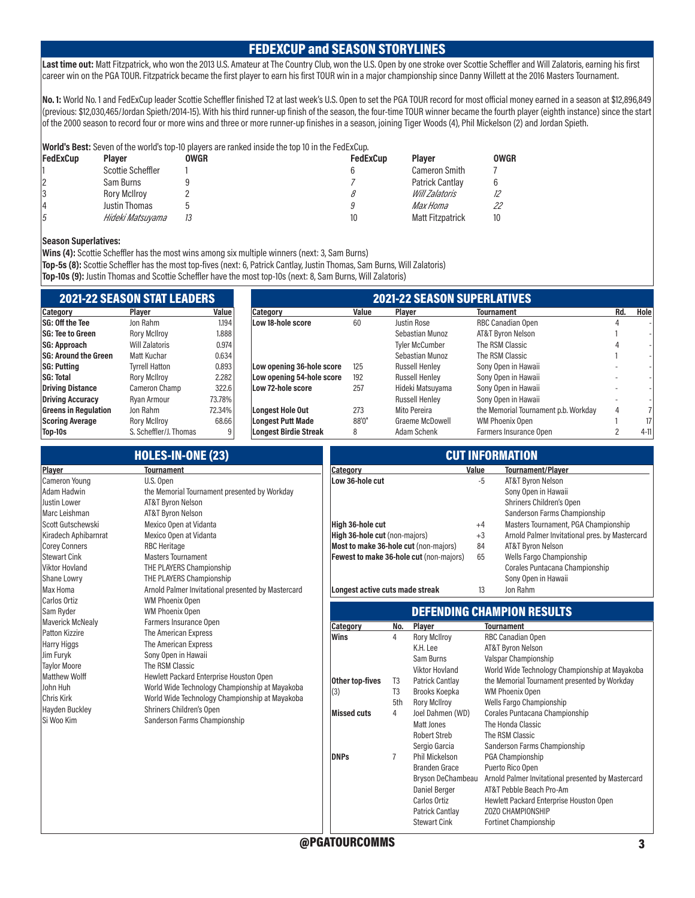### FEDEXCUP and SEASON STORYLINES

Last time out: Matt Fitzpatrick, who won the 2013 U.S. Amateur at The Country Club, won the U.S. Open by one stroke over Scottie Scheffler and Will Zalatoris, earning his first career win on the PGA TOUR. Fitzpatrick became the first player to earn his first TOUR win in a major championship since Danny Willett at the 2016 Masters Tournament.

No. 1: World No. 1 and FedExCup leader Scottie Scheffler finished T2 at last week's U.S. Open to set the PGA TOUR record for most official money earned in a season at \$12,896,849 (previous: \$12,030,465/Jordan Spieth/2014-15). With his third runner-up finish of the season, the four-time TOUR winner became the fourth player (eighth instance) since the start of the 2000 season to record four or more wins and three or more runner-up finishes in a season, joining Tiger Woods (4), Phil Mickelson (2) and Jordan Spieth.

|          |                     |      | <b>World's Best:</b> Seven of the world's top-10 players are ranked inside the top 10 in the FedExCup. |                         |             |
|----------|---------------------|------|--------------------------------------------------------------------------------------------------------|-------------------------|-------------|
| FedExCup | <b>Plaver</b>       | OWGR | <b>FedExCup</b>                                                                                        | <b>Plaver</b>           | <b>OWGR</b> |
|          | Scottie Scheffler   |      |                                                                                                        | Cameron Smith           |             |
|          | Sam Burns           |      |                                                                                                        | <b>Patrick Cantlay</b>  |             |
| 13       | <b>Rory McIlrov</b> |      |                                                                                                        | Will Zalatoris          |             |
| 14       | Justin Thomas       |      |                                                                                                        | Max Homa                | 22          |
| 15       | Hideki Matsuyama    | 13   | 10                                                                                                     | <b>Matt Fitzpatrick</b> |             |

#### Season Superlatives:

Wins (4): Scottie Scheffler has the most wins among six multiple winners (next: 3, Sam Burns) Top-5s (8): Scottie Scheffler has the most top-fives (next: 6, Patrick Cantlay, Justin Thomas, Sam Burns, Will Zalatoris) Top-10s (9): Justin Thomas and Scottie Scheffler have the most top-10s (next: 8, Sam Burns, Will Zalatoris)

|                        |        | <b>2021-22 SEASON SUPERLATIVES</b> |       |                       |                                      |     |        |  |  |  |  |
|------------------------|--------|------------------------------------|-------|-----------------------|--------------------------------------|-----|--------|--|--|--|--|
| <b>Plaver</b>          | Value  | <b>Category</b>                    | Value | <b>Plaver</b>         | <b>Tournament</b>                    | Rd. | Hole   |  |  |  |  |
| Jon Rahm               | 1.194  | Low 18-hole score                  | 60    | Justin Rose           | RBC Canadian Open                    |     |        |  |  |  |  |
| <b>Rory McIlrov</b>    | 1.888  |                                    |       | Sebastian Munoz       | AT&T Byron Nelson                    |     |        |  |  |  |  |
| <b>Will Zalatoris</b>  | 0.974  |                                    |       | <b>Tyler McCumber</b> | The RSM Classic                      |     |        |  |  |  |  |
| Matt Kuchar            | 0.634  |                                    |       | Sebastian Munoz       | The RSM Classic                      |     |        |  |  |  |  |
| <b>Tyrrell Hatton</b>  | 0.893  | Low opening 36-hole score          | 125   | <b>Russell Henley</b> | Sony Open in Hawaii                  |     |        |  |  |  |  |
| <b>Rory McIlroy</b>    | 2.282  | Low opening 54-hole score          | 192   | <b>Russell Henley</b> | Sony Open in Hawaii                  |     |        |  |  |  |  |
| Cameron Champ          | 322.6  | Low 72-hole score                  | 257   | Hideki Matsuyama      | Sony Open in Hawaii                  |     |        |  |  |  |  |
| Rvan Armour            | 73.78% |                                    |       | <b>Russell Henley</b> | Sony Open in Hawaii                  |     |        |  |  |  |  |
| Jon Rahm               | 72.34% | Longest Hole Out                   | 273   | Mito Pereira          | the Memorial Tournament p.b. Workday | 4   |        |  |  |  |  |
| <b>Rory McIlrov</b>    | 68.66  | Longest Putt Made                  | 88'0" | Graeme McDowell       | WM Phoenix Open                      |     | 17     |  |  |  |  |
| S. Scheffler/J. Thomas | 9      | <b>Longest Birdie Streak</b>       | 8     | Adam Schenk           | Farmers Insurance Open               |     | $4-11$ |  |  |  |  |
|                        |        | <b>2021-22 SEASON STAT LEADERS</b> |       |                       |                                      |     |        |  |  |  |  |

|                                                                                                                                                               | <b>HOLES-IN-ONE (23)</b>                                                                                                                                                                                                                           | <b>CUT INFORMATION</b>                                                                                                        |                       |                                                                                                                                               |                                |                                                                                                                                                                                                                                                         |  |  |  |
|---------------------------------------------------------------------------------------------------------------------------------------------------------------|----------------------------------------------------------------------------------------------------------------------------------------------------------------------------------------------------------------------------------------------------|-------------------------------------------------------------------------------------------------------------------------------|-----------------------|-----------------------------------------------------------------------------------------------------------------------------------------------|--------------------------------|---------------------------------------------------------------------------------------------------------------------------------------------------------------------------------------------------------------------------------------------------------|--|--|--|
| Player                                                                                                                                                        | <b>Tournament</b>                                                                                                                                                                                                                                  | Category                                                                                                                      |                       |                                                                                                                                               | Value                          | <b>Tournament/Plaver</b>                                                                                                                                                                                                                                |  |  |  |
| <b>Cameron Young</b><br>Adam Hadwin<br>Justin Lower                                                                                                           | U.S. Open<br>the Memorial Tournament presented by Workday<br><b>AT&amp;T Byron Nelson</b>                                                                                                                                                          | Low 36-hole cut                                                                                                               |                       |                                                                                                                                               | -5                             | <b>AT&amp;T Byron Nelson</b><br>Sony Open in Hawaii<br>Shriners Children's Open                                                                                                                                                                         |  |  |  |
| Marc Leishman<br>Scott Gutschewski<br>Kiradech Aphibarnrat<br><b>Corey Conners</b><br><b>Stewart Cink</b><br><b>Viktor Hovland</b><br>Shane Lowry<br>Max Homa | <b>AT&amp;T Byron Nelson</b><br>Mexico Open at Vidanta<br>Mexico Open at Vidanta<br><b>RBC Heritage</b><br><b>Masters Tournament</b><br>THE PLAYERS Championship<br>THE PLAYERS Championship<br>Arnold Palmer Invitational presented by Mastercard | High 36-hole cut<br>High 36-hole cut (non-majors)<br>Most to make 36-hole cut (non-majors)<br>Longest active cuts made streak |                       | Fewest to make 36-hole cut (non-majors)                                                                                                       | $+4$<br>$+3$<br>84<br>65<br>13 | Sanderson Farms Championship<br>Masters Tournament, PGA Championship<br>Arnold Palmer Invitational pres. by Mastercard<br><b>AT&amp;T Byron Nelson</b><br>Wells Fargo Championship<br>Corales Puntacana Championship<br>Sony Open in Hawaii<br>Jon Rahm |  |  |  |
| Carlos Ortiz                                                                                                                                                  | <b>WM Phoenix Open</b>                                                                                                                                                                                                                             |                                                                                                                               |                       |                                                                                                                                               |                                |                                                                                                                                                                                                                                                         |  |  |  |
| Sam Ryder                                                                                                                                                     | <b>WM Phoenix Open</b>                                                                                                                                                                                                                             |                                                                                                                               |                       |                                                                                                                                               |                                | <b>DEFENDING CHAMPION RESULTS</b>                                                                                                                                                                                                                       |  |  |  |
| <b>Maverick McNealy</b>                                                                                                                                       | Farmers Insurance Open                                                                                                                                                                                                                             | Category                                                                                                                      | No.                   | Player                                                                                                                                        |                                | <b>Tournament</b>                                                                                                                                                                                                                                       |  |  |  |
| Patton Kizzire<br><b>Harry Higgs</b><br>Jim Furyk<br><b>Taylor Moore</b><br>Matthew Wolff                                                                     | The American Express<br>The American Express<br>Sony Open in Hawaii<br>The RSM Classic<br>Hewlett Packard Enterprise Houston Open                                                                                                                  | Wins<br>Other top-fives                                                                                                       | 4<br>T <sub>3</sub>   | <b>Rory McIlroy</b><br>K.H. Lee<br>Sam Burns<br><b>Viktor Hovland</b><br><b>Patrick Cantlay</b>                                               |                                | RBC Canadian Open<br><b>AT&amp;T Byron Nelson</b><br>Valspar Championship<br>World Wide Technology Championship at Mayakoba<br>the Memorial Tournament presented by Workday                                                                             |  |  |  |
| John Huh<br><b>Chris Kirk</b>                                                                                                                                 | World Wide Technology Championship at Mayakoba<br>World Wide Technology Championship at Mayakoba                                                                                                                                                   | (3)                                                                                                                           | T <sub>3</sub><br>5th | Brooks Koepka<br><b>Rory McIlroy</b>                                                                                                          |                                | <b>WM Phoenix Open</b><br>Wells Fargo Championship                                                                                                                                                                                                      |  |  |  |
| Hayden Buckley<br>Si Woo Kim                                                                                                                                  | Shriners Children's Open<br>Sanderson Farms Championship                                                                                                                                                                                           | <b>Missed cuts</b>                                                                                                            | $\overline{4}$        | Joel Dahmen (WD)<br>Matt Jones<br><b>Robert Streb</b><br>Sergio Garcia                                                                        |                                | Corales Puntacana Championship<br>The Honda Classic<br>The RSM Classic<br>Sanderson Farms Championship                                                                                                                                                  |  |  |  |
|                                                                                                                                                               |                                                                                                                                                                                                                                                    | <b>DNPs</b>                                                                                                                   | $\overline{7}$        | <b>Phil Mickelson</b><br><b>Branden Grace</b><br>Bryson DeChambeau<br>Daniel Berger<br>Carlos Ortiz<br>Patrick Cantlay<br><b>Stewart Cink</b> |                                | PGA Championship<br>Puerto Rico Open<br>Arnold Palmer Invitational presented by Mastercard<br>AT&T Pebble Beach Pro-Am<br>Hewlett Packard Enterprise Houston Open<br>ZOZO CHAMPIONSHIP<br>Fortinet Championship                                         |  |  |  |